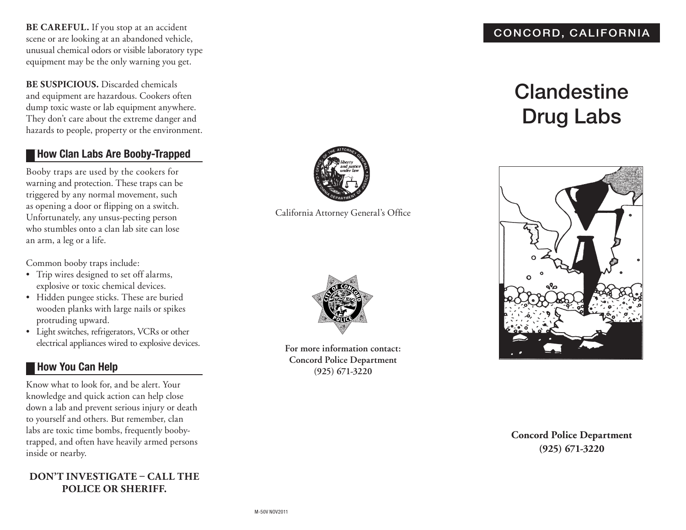**BE CAREFUL.** If you stop at an accident scene or are looking at an abandoned vehicle, unusual chemical odors or visible laboratory type equipment may be the only warning you get.

**BE SUSPICIOUS.** Discarded chemicals and equipment are hazardous. Cookers often dump toxic waste or lab equipment anywhere. They don't care about the extreme danger and hazards to people, property or the environment.

## **How Clan Labs Are Booby-Trapped**

Booby traps are used by the cookers for warning and protection. These traps can be triggered by any normal movement, such as opening a door or flipping on a switch. Unfortunately, any unsus-pecting person who stumbles onto a clan lab site can lose an arm, a leg or a life.

Common booby traps include:

- • Trip wires designed to set off alarms, explosive or toxic chemical devices.
- • Hidden pungee sticks. These are buried wooden planks with large nails or spikes protruding upward.
- • Light switches, refrigerators, VCRs or other electrical appliances wired to explosive devices.

#### **How You Can Help**

Know what to look for, and be alert. Your knowledge and quick action can help close down a lab and prevent serious injury or death to yourself and others. But remember, clan labs are toxic time bombs, frequently boobytrapped, and often have heavily armed persons inside or nearby.

#### **DON'T INVESTIGATE – CALL THE police or sheriff.**



California Attorney General's Office



**For more information contact: Concord Police Department (925) 671-3220**

#### CONCORD, CALIFORNIA

# **Clandestine** Drug Labs



#### **Concord Police Department (925) 671-3220**